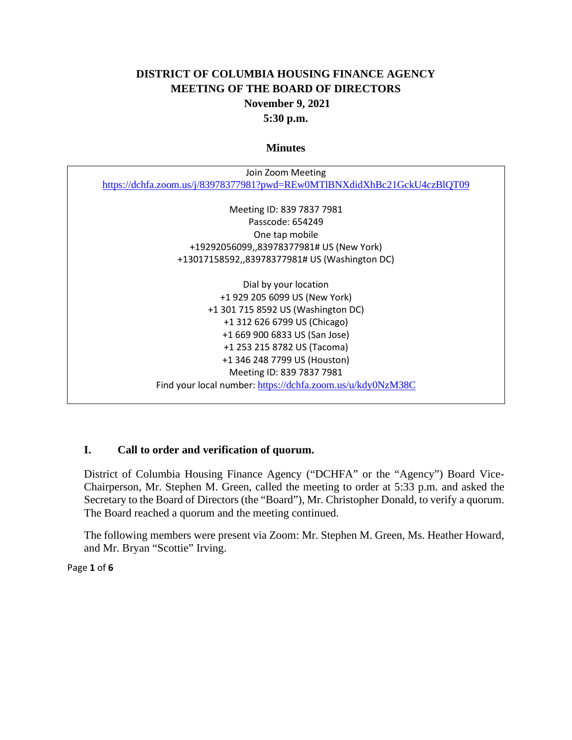# **DISTRICT OF COLUMBIA HOUSING FINANCE AGENCY MEETING OF THE BOARD OF DIRECTORS November 9, 2021 5:30 p.m.**

#### **Minutes**

| Join Zoom Meeting                                                        |
|--------------------------------------------------------------------------|
| https://dchfa.zoom.us/j/83978377981?pwd=REw0MTlBNXdidXhBc21GckU4czBlQT09 |
|                                                                          |
| Meeting ID: 839 7837 7981                                                |
| Passcode: 654249                                                         |
| One tap mobile                                                           |
| +19292056099,,83978377981# US (New York)                                 |
| +13017158592,,83978377981# US (Washington DC)                            |
|                                                                          |
| Dial by your location                                                    |
| +1 929 205 6099 US (New York)                                            |
| +1 301 715 8592 US (Washington DC)                                       |
| +1 312 626 6799 US (Chicago)                                             |
| +1 669 900 6833 US (San Jose)                                            |
| +1 253 215 8782 US (Tacoma)                                              |
| +1 346 248 7799 US (Houston)                                             |
| Meeting ID: 839 7837 7981                                                |
| Find your local number: https://dchfa.zoom.us/u/kdy0NzM38C               |

### **I. Call to order and verification of quorum.**

District of Columbia Housing Finance Agency ("DCHFA" or the "Agency") Board Vice-Chairperson, Mr. Stephen M. Green, called the meeting to order at 5:33 p.m. and asked the Secretary to the Board of Directors (the "Board"), Mr. Christopher Donald, to verify a quorum. The Board reached a quorum and the meeting continued.

The following members were present via Zoom: Mr. Stephen M. Green, Ms. Heather Howard, and Mr. Bryan "Scottie" Irving.

Page **1** of **6**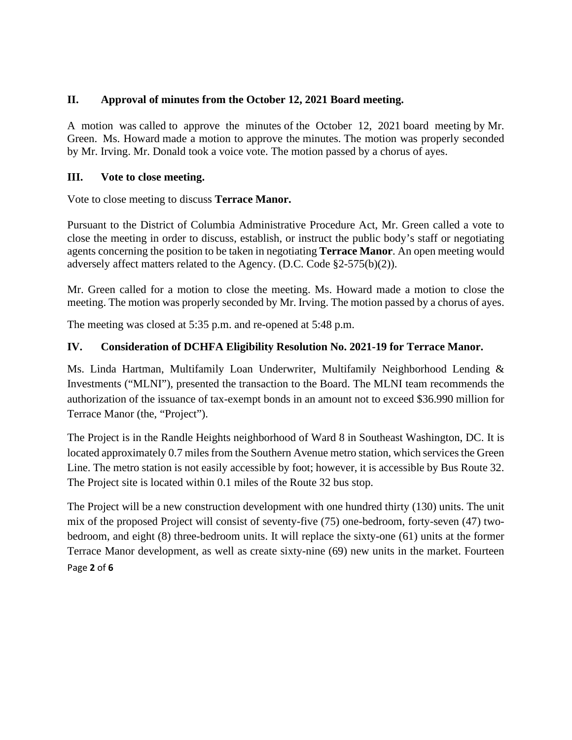### **II. Approval of minutes from the October 12, 2021 Board meeting.**

A motion was called to approve the minutes of the October 12, 2021 board meeting by Mr. Green. Ms. Howard made a motion to approve the minutes. The motion was properly seconded by Mr. Irving. Mr. Donald took a voice vote. The motion passed by a chorus of ayes.

### **III. Vote to close meeting.**

Vote to close meeting to discuss **Terrace Manor.** 

Pursuant to the District of Columbia Administrative Procedure Act, Mr. Green called a vote to close the meeting in order to discuss, establish, or instruct the public body's staff or negotiating agents concerning the position to be taken in negotiating **Terrace Manor**. An open meeting would adversely affect matters related to the Agency. (D.C. Code §2-575(b)(2)).

Mr. Green called for a motion to close the meeting. Ms. Howard made a motion to close the meeting. The motion was properly seconded by Mr. Irving. The motion passed by a chorus of ayes.

The meeting was closed at 5:35 p.m. and re-opened at 5:48 p.m.

### **IV. Consideration of DCHFA Eligibility Resolution No. 2021-19 for Terrace Manor.**

Ms. Linda Hartman, Multifamily Loan Underwriter, Multifamily Neighborhood Lending & Investments ("MLNI"), presented the transaction to the Board. The MLNI team recommends the authorization of the issuance of tax-exempt bonds in an amount not to exceed \$36.990 million for Terrace Manor (the, "Project").

The Project is in the Randle Heights neighborhood of Ward 8 in Southeast Washington, DC. It is located approximately 0.7 miles from the Southern Avenue metro station, which services the Green Line. The metro station is not easily accessible by foot; however, it is accessible by Bus Route 32. The Project site is located within 0.1 miles of the Route 32 bus stop.

Page **2** of **6** The Project will be a new construction development with one hundred thirty (130) units. The unit mix of the proposed Project will consist of seventy-five (75) one-bedroom, forty-seven (47) twobedroom, and eight (8) three-bedroom units. It will replace the sixty-one (61) units at the former Terrace Manor development, as well as create sixty-nine (69) new units in the market. Fourteen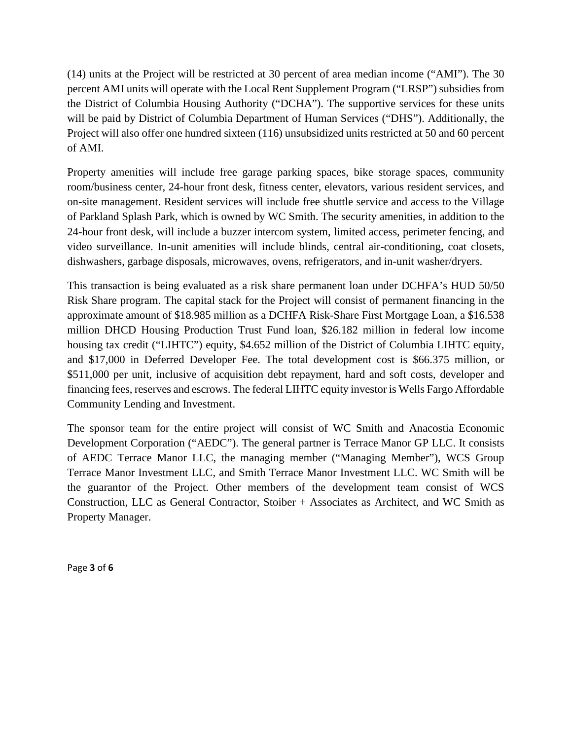(14) units at the Project will be restricted at 30 percent of area median income ("AMI"). The 30 percent AMI units will operate with the Local Rent Supplement Program ("LRSP") subsidies from the District of Columbia Housing Authority ("DCHA"). The supportive services for these units will be paid by District of Columbia Department of Human Services ("DHS"). Additionally, the Project will also offer one hundred sixteen (116) unsubsidized units restricted at 50 and 60 percent of AMI.

Property amenities will include free garage parking spaces, bike storage spaces, community room/business center, 24-hour front desk, fitness center, elevators, various resident services, and on-site management. Resident services will include free shuttle service and access to the Village of Parkland Splash Park, which is owned by WC Smith. The security amenities, in addition to the 24-hour front desk, will include a buzzer intercom system, limited access, perimeter fencing, and video surveillance. In-unit amenities will include blinds, central air-conditioning, coat closets, dishwashers, garbage disposals, microwaves, ovens, refrigerators, and in-unit washer/dryers.

This transaction is being evaluated as a risk share permanent loan under DCHFA's HUD 50/50 Risk Share program. The capital stack for the Project will consist of permanent financing in the approximate amount of \$18.985 million as a DCHFA Risk-Share First Mortgage Loan, a \$16.538 million DHCD Housing Production Trust Fund loan, \$26.182 million in federal low income housing tax credit ("LIHTC") equity, \$4.652 million of the District of Columbia LIHTC equity, and \$17,000 in Deferred Developer Fee. The total development cost is \$66.375 million, or \$511,000 per unit, inclusive of acquisition debt repayment, hard and soft costs, developer and financing fees, reserves and escrows. The federal LIHTC equity investor is Wells Fargo Affordable Community Lending and Investment.

The sponsor team for the entire project will consist of WC Smith and Anacostia Economic Development Corporation ("AEDC"). The general partner is Terrace Manor GP LLC. It consists of AEDC Terrace Manor LLC, the managing member ("Managing Member"), WCS Group Terrace Manor Investment LLC, and Smith Terrace Manor Investment LLC. WC Smith will be the guarantor of the Project. Other members of the development team consist of WCS Construction, LLC as General Contractor, Stoiber + Associates as Architect, and WC Smith as Property Manager.

Page **3** of **6**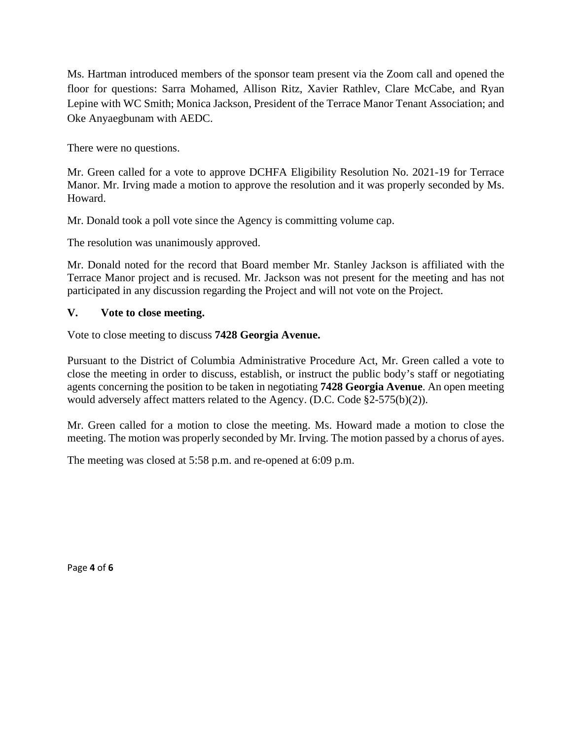Ms. Hartman introduced members of the sponsor team present via the Zoom call and opened the floor for questions: Sarra Mohamed, Allison Ritz, Xavier Rathlev, Clare McCabe, and Ryan Lepine with WC Smith; Monica Jackson, President of the Terrace Manor Tenant Association; and Oke Anyaegbunam with AEDC.

There were no questions.

Mr. Green called for a vote to approve DCHFA Eligibility Resolution No. 2021-19 for Terrace Manor. Mr. Irving made a motion to approve the resolution and it was properly seconded by Ms. Howard.

Mr. Donald took a poll vote since the Agency is committing volume cap.

The resolution was unanimously approved.

Mr. Donald noted for the record that Board member Mr. Stanley Jackson is affiliated with the Terrace Manor project and is recused. Mr. Jackson was not present for the meeting and has not participated in any discussion regarding the Project and will not vote on the Project.

## **V. Vote to close meeting.**

Vote to close meeting to discuss **7428 Georgia Avenue.** 

Pursuant to the District of Columbia Administrative Procedure Act, Mr. Green called a vote to close the meeting in order to discuss, establish, or instruct the public body's staff or negotiating agents concerning the position to be taken in negotiating **7428 Georgia Avenue**. An open meeting would adversely affect matters related to the Agency. (D.C. Code §2-575(b)(2)).

Mr. Green called for a motion to close the meeting. Ms. Howard made a motion to close the meeting. The motion was properly seconded by Mr. Irving. The motion passed by a chorus of ayes.

The meeting was closed at 5:58 p.m. and re-opened at 6:09 p.m.

Page **4** of **6**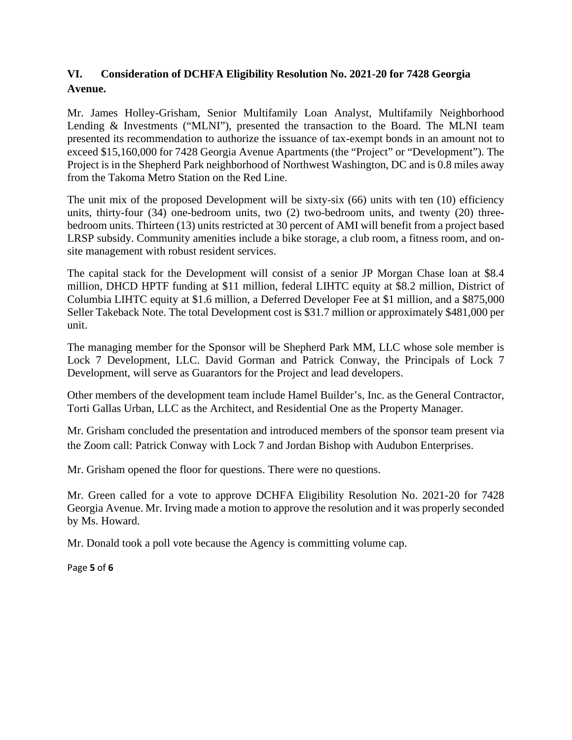# **VI. Consideration of DCHFA Eligibility Resolution No. 2021-20 for 7428 Georgia Avenue.**

Mr. James Holley-Grisham, Senior Multifamily Loan Analyst, Multifamily Neighborhood Lending & Investments ("MLNI"), presented the transaction to the Board. The MLNI team presented its recommendation to authorize the issuance of tax-exempt bonds in an amount not to exceed \$15,160,000 for 7428 Georgia Avenue Apartments (the "Project" or "Development"). The Project is in the Shepherd Park neighborhood of Northwest Washington, DC and is 0.8 miles away from the Takoma Metro Station on the Red Line.

The unit mix of the proposed Development will be sixty-six (66) units with ten (10) efficiency units, thirty-four (34) one-bedroom units, two (2) two-bedroom units, and twenty (20) threebedroom units. Thirteen (13) units restricted at 30 percent of AMI will benefit from a project based LRSP subsidy. Community amenities include a bike storage, a club room, a fitness room, and onsite management with robust resident services.

The capital stack for the Development will consist of a senior JP Morgan Chase loan at \$8.4 million, DHCD HPTF funding at \$11 million, federal LIHTC equity at \$8.2 million, District of Columbia LIHTC equity at \$1.6 million, a Deferred Developer Fee at \$1 million, and a \$875,000 Seller Takeback Note. The total Development cost is \$31.7 million or approximately \$481,000 per unit.

The managing member for the Sponsor will be Shepherd Park MM, LLC whose sole member is Lock 7 Development, LLC. David Gorman and Patrick Conway, the Principals of Lock 7 Development, will serve as Guarantors for the Project and lead developers.

Other members of the development team include Hamel Builder's, Inc. as the General Contractor, Torti Gallas Urban, LLC as the Architect, and Residential One as the Property Manager.

Mr. Grisham concluded the presentation and introduced members of the sponsor team present via the Zoom call: Patrick Conway with Lock 7 and Jordan Bishop with Audubon Enterprises.

Mr. Grisham opened the floor for questions. There were no questions.

Mr. Green called for a vote to approve DCHFA Eligibility Resolution No. 2021-20 for 7428 Georgia Avenue. Mr. Irving made a motion to approve the resolution and it was properly seconded by Ms. Howard.

Mr. Donald took a poll vote because the Agency is committing volume cap.

Page **5** of **6**